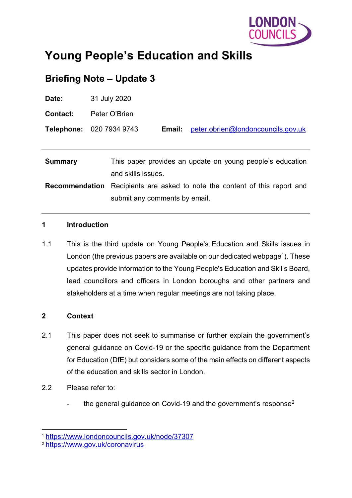

# **Young People's Education and Skills**

# **Briefing Note – Update 3**

| Date:                 | 31 July 2020                                                                                 |
|-----------------------|----------------------------------------------------------------------------------------------|
| <b>Contact:</b>       | Peter O'Brien                                                                                |
|                       | Telephone: 020 7934 9743<br>peter.obrien@londoncouncils.gov.uk<br>Email:                     |
|                       |                                                                                              |
| <b>Summary</b>        | This paper provides an update on young people's education<br>and skills issues.              |
| <b>Recommendation</b> | Recipients are asked to note the content of this report and<br>submit any comments by email. |

#### **1 Introduction**

1.1 This is the third update on Young People's Education and Skills issues in London (the previous papers are available on our dedicated webpage<sup>1</sup>). These updates provide information to the Young People's Education and Skills Board, lead councillors and officers in London boroughs and other partners and stakeholders at a time when regular meetings are not taking place.

#### **2 Context**

- 2.1 This paper does not seek to summarise or further explain the government's general guidance on Covid-19 or the specific guidance from the Department for Education (DfE) but considers some of the main effects on different aspects of the education and skills sector in London.
- 2.2 Please refer to:
	- the general guidance on Covid-19 and the government's response<sup>[2](#page-0-1)</sup>

<span id="page-0-0"></span> <sup>1</sup> <https://www.londoncouncils.gov.uk/node/37307>

<span id="page-0-1"></span><sup>2</sup> <https://www.gov.uk/coronavirus>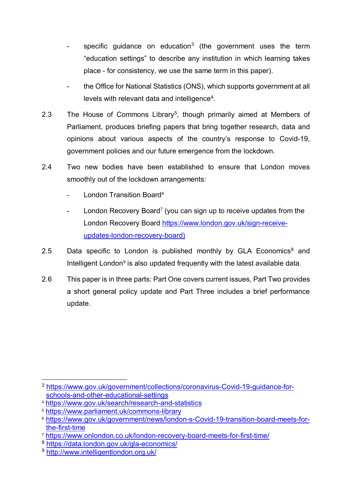- specific quidance on education<sup>[3](#page-1-0)</sup> (the government uses the term "education settings" to describe any institution in which learning takes place - for consistency, we use the same term in this paper).
- the Office for National Statistics (ONS), which supports government at all levels with relevant data and intelligence<sup>[4](#page-1-1)</sup>.
- 2.3 The House of Commons Library<sup>[5](#page-1-2)</sup>, though primarily aimed at Members of Parliament, produces briefing papers that bring together research, data and opinions about various aspects of the country's response to Covid-19, government policies and our future emergence from the lockdown.
- 2.4 Two new bodies have been established to ensure that London moves smoothly out of the lockdown arrangements:
	- London Transition Board<sup>[6](#page-1-3)</sup>
	- London Recovery Board<sup>7</sup> (you can sign up to receive updates from the London Recovery Board [https://www.london.gov.uk/sign-receive](https://www.london.gov.uk/sign-receive-updates-london-recovery-board)[updates-london-recovery-board\)](https://www.london.gov.uk/sign-receive-updates-london-recovery-board)
- 2.5 Data specific to London is published monthly by GLA Economics<sup>8</sup> and Intelligent London $9$  is also updated frequently with the latest available data.
- 2.6 This paper is in three parts: Part One covers current issues, Part Two provides a short general policy update and Part Three includes a brief performance update.

<span id="page-1-0"></span> <sup>3</sup> [https://www.gov.uk/government/collections/coronavirus-Covid-19-guidance-for](https://www.gov.uk/government/collections/coronavirus-covid-19-guidance-for-schools-and-other-educational-settings)[schools-and-other-educational-settings](https://www.gov.uk/government/collections/coronavirus-covid-19-guidance-for-schools-and-other-educational-settings)

<span id="page-1-1"></span><sup>4</sup> <https://www.gov.uk/search/research-and-statistics>

<span id="page-1-2"></span><sup>5</sup> <https://www.parliament.uk/commons-library>

<span id="page-1-3"></span><sup>6</sup> [https://www.gov.uk/government/news/london-s-Covid-19-transition-board-meets-for](https://www.gov.uk/government/news/london-s-covid-19-transition-board-meets-for-the-first-time)[the-first-time](https://www.gov.uk/government/news/london-s-covid-19-transition-board-meets-for-the-first-time)

<span id="page-1-4"></span><sup>7</sup> <https://www.onlondon.co.uk/london-recovery-board-meets-for-first-time/>

<span id="page-1-5"></span><sup>8</sup> <https://data.london.gov.uk/gla-economics/>

<span id="page-1-6"></span><sup>9</sup> <http://www.intelligentlondon.org.uk/>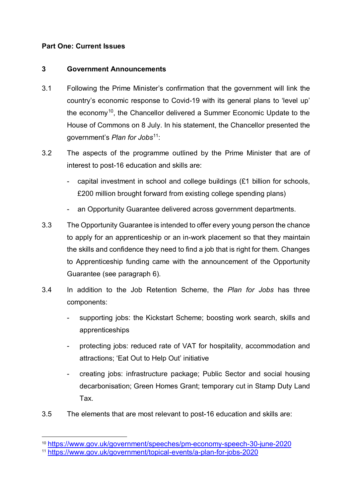### **Part One: Current Issues**

#### **3 Government Announcements**

- 3.1 Following the Prime Minister's confirmation that the government will link the country's economic response to Covid-19 with its general plans to 'level up' the economy[10,](#page-2-0) the Chancellor delivered a Summer Economic Update to the House of Commons on 8 July. In his statement, the Chancellor presented the government's *Plan for Jobs*[11:](#page-2-1)
- 3.2 The aspects of the programme outlined by the Prime Minister that are of interest to post-16 education and skills are:
	- capital investment in school and college buildings (£1 billion for schools, £200 million brought forward from existing college spending plans)
	- an Opportunity Guarantee delivered across government departments.
- <span id="page-2-2"></span>3.3 The Opportunity Guarantee is intended to offer every young person the chance to apply for an apprenticeship or an in-work placement so that they maintain the skills and confidence they need to find a job that is right for them. Changes to Apprenticeship funding came with the announcement of the Opportunity Guarantee (see paragraph [6\)](#page-9-0).
- <span id="page-2-3"></span>3.4 In addition to the Job Retention Scheme, the *Plan for Jobs* has three components:
	- supporting jobs: the Kickstart Scheme; boosting work search, skills and apprenticeships
	- protecting jobs: reduced rate of VAT for hospitality, accommodation and attractions; 'Eat Out to Help Out' initiative
	- creating jobs: infrastructure package; Public Sector and social housing decarbonisation; Green Homes Grant; temporary cut in Stamp Duty Land Tax.
- 3.5 The elements that are most relevant to post-16 education and skills are:

 <sup>10</sup> <https://www.gov.uk/government/speeches/pm-economy-speech-30-june-2020>

<span id="page-2-1"></span><span id="page-2-0"></span><sup>11</sup> <https://www.gov.uk/government/topical-events/a-plan-for-jobs-2020>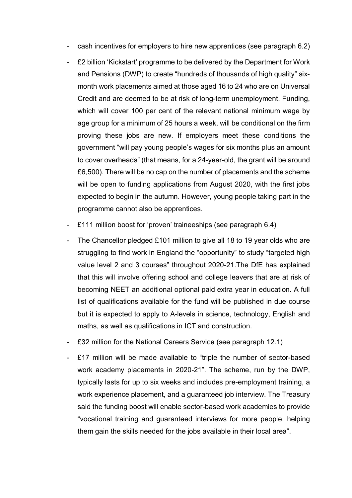- cash incentives for employers to hire new apprentices (see paragraph [6.2\)](#page-9-1)
- £2 billion 'Kickstart' programme to be delivered by the Department for Work and Pensions (DWP) to create "hundreds of thousands of high quality" sixmonth work placements aimed at those aged 16 to 24 who are on Universal Credit and are deemed to be at risk of long-term unemployment. Funding, which will cover 100 per cent of the relevant national minimum wage by age group for a minimum of 25 hours a week, will be conditional on the firm proving these jobs are new. If employers meet these conditions the government "will pay young people's wages for six months plus an amount to cover overheads" (that means, for a 24-year-old, the grant will be around £6,500). There will be no cap on the number of placements and the scheme will be open to funding applications from August 2020, with the first jobs expected to begin in the autumn. However, young people taking part in the programme cannot also be apprentices.
- £111 million boost for 'proven' traineeships (see paragraph [6.4\)](#page-10-0)
- The Chancellor pledged £101 million to give all 18 to 19 year olds who are struggling to find work in England the "opportunity" to study "targeted high value level 2 and 3 courses" throughout 2020-21.The DfE has explained that this will involve offering school and college leavers that are at risk of becoming NEET an additional optional paid extra year in education. A full list of qualifications available for the fund will be published in due course but it is expected to apply to A-levels in science, technology, English and maths, as well as qualifications in ICT and construction.
- £32 million for the National Careers Service (see paragraph [12.1\)](#page-17-0)
- £17 million will be made available to "triple the number of sector-based work academy placements in 2020-21". The scheme, run by the DWP, typically lasts for up to six weeks and includes pre-employment training, a work experience placement, and a guaranteed job interview. The Treasury said the funding boost will enable sector-based work academies to provide "vocational training and guaranteed interviews for more people, helping them gain the skills needed for the jobs available in their local area".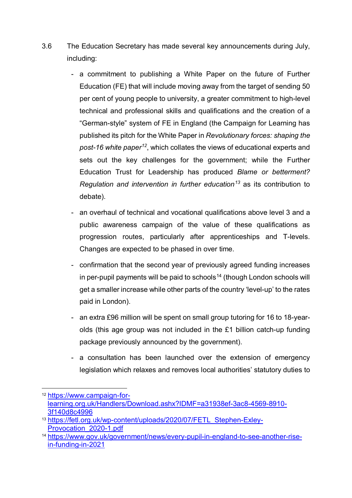- 3.6 The Education Secretary has made several key announcements during July, including:
	- a commitment to publishing a White Paper on the future of Further Education (FE) that will include moving away from the target of sending 50 per cent of young people to university, a greater commitment to high-level technical and professional skills and qualifications and the creation of a "German-style" system of FE in England (the Campaign for Learning has published its pitch for the White Paper in *Revolutionary forces: shaping the post-16 white paper[12](#page-4-0)*, which collates the views of educational experts and sets out the key challenges for the government; while the Further Education Trust for Leadership has produced *Blame or betterment? Regulation and intervention in further education[13](#page-4-1)* as its contribution to debate).
	- an overhaul of technical and vocational qualifications above level 3 and a public awareness campaign of the value of these qualifications as progression routes, particularly after apprenticeships and T-levels. Changes are expected to be phased in over time.
	- confirmation that the second year of previously agreed funding increases in per-pupil payments will be paid to schools<sup>[14](#page-4-2)</sup> (though London schools will get a smaller increase while other parts of the country 'level-up' to the rates paid in London).
	- an extra £96 million will be spent on small group tutoring for 16 to 18-yearolds (this age group was not included in the £1 billion catch-up funding package previously announced by the government).
	- a consultation has been launched over the extension of emergency legislation which relaxes and removes local authorities' statutory duties to

<span id="page-4-0"></span> <sup>12</sup> [https://www.campaign-for](https://www.campaign-for-learning.org.uk/Handlers/Download.ashx?IDMF=a31938ef-3ac8-4569-8910-3f140d8c4996)[learning.org.uk/Handlers/Download.ashx?IDMF=a31938ef-3ac8-4569-8910-](https://www.campaign-for-learning.org.uk/Handlers/Download.ashx?IDMF=a31938ef-3ac8-4569-8910-3f140d8c4996) [3f140d8c4996](https://www.campaign-for-learning.org.uk/Handlers/Download.ashx?IDMF=a31938ef-3ac8-4569-8910-3f140d8c4996)

<span id="page-4-1"></span><sup>13</sup> https://fetl.org.uk/wp-content/uploads/2020/07/FETL Stephen-Exley-[Provocation\\_2020-1.pdf](https://fetl.org.uk/wp-content/uploads/2020/07/FETL_Stephen-Exley-Provocation_2020-1.pdf)

<span id="page-4-2"></span><sup>14</sup> [https://www.gov.uk/government/news/every-pupil-in-england-to-see-another-rise](https://www.gov.uk/government/news/every-pupil-in-england-to-see-another-rise-in-funding-in-2021)[in-funding-in-2021](https://www.gov.uk/government/news/every-pupil-in-england-to-see-another-rise-in-funding-in-2021)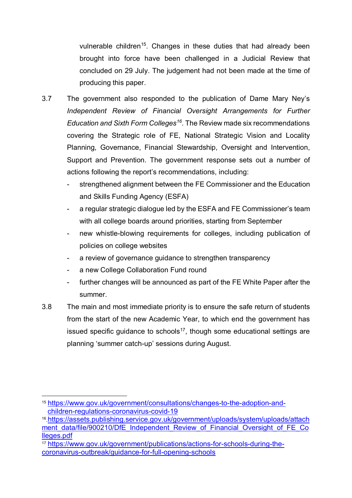vulnerable children<sup>[15](#page-5-0)</sup>. Changes in these duties that had already been brought into force have been challenged in a Judicial Review that concluded on 29 July. The judgement had not been made at the time of producing this paper.

- 3.7 The government also responded to the publication of Dame Mary Ney's *Independent Review of Financial Oversight Arrangements for Further Education and Sixth Form Colleges[16](#page-5-1)*. The Review made six recommendations covering the Strategic role of FE, National Strategic Vision and Locality Planning, Governance, Financial Stewardship, Oversight and Intervention, Support and Prevention. The government response sets out a number of actions following the report's recommendations, including:
	- strengthened alignment between the FE Commissioner and the Education and Skills Funding Agency (ESFA)
	- a regular strategic dialogue led by the ESFA and FE Commissioner's team with all college boards around priorities, starting from September
	- new whistle-blowing requirements for colleges, including publication of policies on college websites
	- a review of governance guidance to strengthen transparency
	- a new College Collaboration Fund round
	- further changes will be announced as part of the FE White Paper after the summer.
- 3.8 The main and most immediate priority is to ensure the safe return of students from the start of the new Academic Year, to which end the government has issued specific guidance to schools<sup>[17](#page-5-2)</sup>, though some educational settings are planning 'summer catch-up' sessions during August.

<span id="page-5-0"></span> <sup>15</sup> [https://www.gov.uk/government/consultations/changes-to-the-adoption-and](https://www.gov.uk/government/consultations/changes-to-the-adoption-and-children-regulations-coronavirus-covid-19)[children-regulations-coronavirus-covid-19](https://www.gov.uk/government/consultations/changes-to-the-adoption-and-children-regulations-coronavirus-covid-19)

<span id="page-5-1"></span><sup>16</sup>[.https://assets.publishing.service.gov.uk/government/uploads/system/uploads/attach](https://assets.publishing.service.gov.uk/government/uploads/system/uploads/attachment_data/file/900210/DfE_Independent_Review_of_Financial_Oversight_of_FE_Colleges.pdf) ment data/file/900210/DfE\_Independent\_Review\_of\_Financial\_Oversight\_of\_FE\_Co [lleges.pdf](https://assets.publishing.service.gov.uk/government/uploads/system/uploads/attachment_data/file/900210/DfE_Independent_Review_of_Financial_Oversight_of_FE_Colleges.pdf)

<span id="page-5-2"></span><sup>17</sup> [https://www.gov.uk/government/publications/actions-for-schools-during-the](https://www.gov.uk/government/publications/actions-for-schools-during-the-coronavirus-outbreak/guidance-for-full-opening-schools)[coronavirus-outbreak/guidance-for-full-opening-schools](https://www.gov.uk/government/publications/actions-for-schools-during-the-coronavirus-outbreak/guidance-for-full-opening-schools)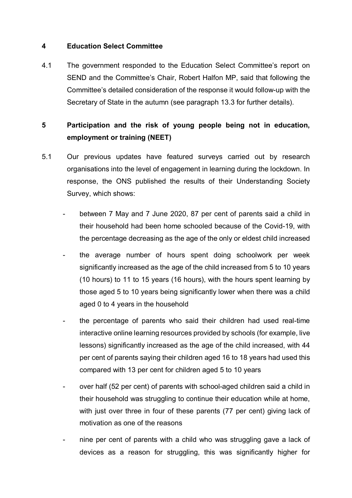#### **4 Education Select Committee**

4.1 The government responded to the Education Select Committee's report on SEND and the Committee's Chair, Robert Halfon MP, said that following the Committee's detailed consideration of the response it would follow-up with the Secretary of State in the autumn (see paragraph [13.3](#page-19-0) for further details).

# **5 Participation and the risk of young people being not in education, employment or training (NEET)**

- 5.1 Our previous updates have featured surveys carried out by research organisations into the level of engagement in learning during the lockdown. In response, the ONS published the results of their Understanding Society Survey, which shows:
	- between 7 May and 7 June 2020, 87 per cent of parents said a child in their household had been home schooled because of the Covid-19, with the percentage decreasing as the age of the only or eldest child increased
	- the average number of hours spent doing schoolwork per week significantly increased as the age of the child increased from 5 to 10 years (10 hours) to 11 to 15 years (16 hours), with the hours spent learning by those aged 5 to 10 years being significantly lower when there was a child aged 0 to 4 years in the household
	- the percentage of parents who said their children had used real-time interactive online learning resources provided by schools (for example, live lessons) significantly increased as the age of the child increased, with 44 per cent of parents saying their children aged 16 to 18 years had used this compared with 13 per cent for children aged 5 to 10 years
	- over half (52 per cent) of parents with school-aged children said a child in their household was struggling to continue their education while at home, with just over three in four of these parents (77 per cent) giving lack of motivation as one of the reasons
	- hine per cent of parents with a child who was struggling gave a lack of devices as a reason for struggling, this was significantly higher for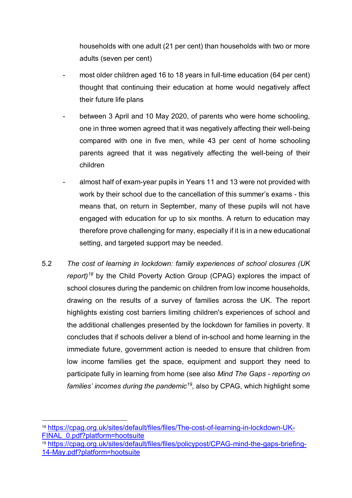households with one adult (21 per cent) than households with two or more adults (seven per cent)

- most older children aged 16 to 18 years in full-time education (64 per cent) thought that continuing their education at home would negatively affect their future life plans
- between 3 April and 10 May 2020, of parents who were home schooling, one in three women agreed that it was negatively affecting their well-being compared with one in five men, while 43 per cent of home schooling parents agreed that it was negatively affecting the well-being of their children
- almost half of exam-year pupils in Years 11 and 13 were not provided with work by their school due to the cancellation of this summer's exams - this means that, on return in September, many of these pupils will not have engaged with education for up to six months. A return to education may therefore prove challenging for many, especially if it is in a new educational setting, and targeted support may be needed.
- 5.2 *The cost of learning in lockdown: family experiences of school closures (UK report)[18](#page-7-0)* by the Child Poverty Action Group (CPAG) explores the impact of school closures during the pandemic on children from low income households, drawing on the results of a survey of families across the UK. The report highlights existing cost barriers limiting children's experiences of school and the additional challenges presented by the lockdown for families in poverty. It concludes that if schools deliver a blend of in-school and home learning in the immediate future, government action is needed to ensure that children from low income families get the space, equipment and support they need to participate fully in learning from home (see also *Mind The Gaps - reporting on families' incomes during the pandemic[19](#page-7-1)*, also by CPAG, which highlight some

<span id="page-7-1"></span><sup>19</sup> [https://cpag.org.uk/sites/default/files/files/policypost/CPAG-mind-the-gaps-briefing-](https://cpag.org.uk/sites/default/files/files/policypost/CPAG-mind-the-gaps-briefing-14-May.pdf?platform=hootsuite)[14-May.pdf?platform=hootsuite](https://cpag.org.uk/sites/default/files/files/policypost/CPAG-mind-the-gaps-briefing-14-May.pdf?platform=hootsuite)

<span id="page-7-0"></span> <sup>18</sup> [https://cpag.org.uk/sites/default/files/files/The-cost-of-learning-in-lockdown-UK-](https://cpag.org.uk/sites/default/files/files/The-cost-of-learning-in-lockdown-UK-FINAL_0.pdf?platform=hootsuite)[FINAL\\_0.pdf?platform=hootsuite](https://cpag.org.uk/sites/default/files/files/The-cost-of-learning-in-lockdown-UK-FINAL_0.pdf?platform=hootsuite)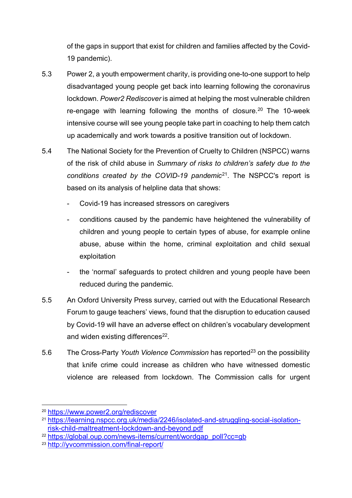of the gaps in support that exist for children and families affected by the Covid-19 pandemic).

- 5.3 Power 2, a youth empowerment charity, is providing one-to-one support to help disadvantaged young people get back into learning following the coronavirus lockdown. *Power2 Rediscover* is aimed at helping the most vulnerable children re-engage with learning following the months of closure.<sup>[20](#page-8-0)</sup> The 10-week intensive course will see young people take part in coaching to help them catch up academically and work towards a positive transition out of lockdown.
- 5.4 The National Society for the Prevention of Cruelty to Children (NSPCC) warns of the risk of child abuse in *Summary of risks to children's safety due to the conditions created by the COVID-19 pandemic*[21](#page-8-1). The NSPCC's report is based on its analysis of helpline data that shows:
	- Covid-19 has increased stressors on caregivers
	- conditions caused by the pandemic have heightened the vulnerability of children and young people to certain types of abuse, for example online abuse, abuse within the home, criminal exploitation and child sexual exploitation
	- the 'normal' safeguards to protect children and young people have been reduced during the pandemic.
- 5.5 An Oxford University Press survey, carried out with the Educational Research Forum to gauge teachers' views, found that the disruption to education caused by Covid-19 will have an adverse effect on children's vocabulary development and widen existing differences<sup>[22](#page-8-2)</sup>.
- 5.6 The Cross-Party *Youth Violence Commission* has reported<sup>[23](#page-8-3)</sup> on the possibility that knife crime could increase as children who have witnessed domestic violence are released from lockdown. The Commission calls for urgent

<span id="page-8-0"></span> <sup>20</sup> <https://www.power2.org/rediscover>

<span id="page-8-1"></span><sup>&</sup>lt;sup>21</sup> [https://learning.nspcc.org.uk/media/2246/isolated-and-struggling-social-isolation](https://learning.nspcc.org.uk/media/2246/isolated-and-struggling-social-isolation-risk-child-maltreatment-lockdown-and-beyond.pdf)[risk-child-maltreatment-lockdown-and-beyond.pdf](https://learning.nspcc.org.uk/media/2246/isolated-and-struggling-social-isolation-risk-child-maltreatment-lockdown-and-beyond.pdf)

<span id="page-8-2"></span><sup>22</sup> [https://global.oup.com/news-items/current/wordgap\\_poll?cc=gb](https://global.oup.com/news-items/current/wordgap_poll?cc=gb)

<span id="page-8-3"></span><sup>23</sup> <http://yvcommission.com/final-report/>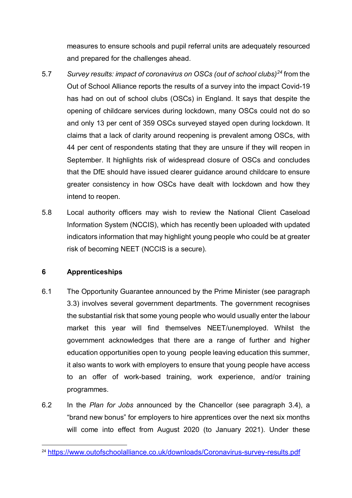measures to ensure schools and pupil referral units are adequately resourced and prepared for the challenges ahead.

- 5.7 *Survey results: impact of coronavirus on OSCs (out of school clubs)[24](#page-9-2)* from the Out of School Alliance reports the results of a survey into the impact Covid-19 has had on out of school clubs (OSCs) in England. It says that despite the opening of childcare services during lockdown, many OSCs could not do so and only 13 per cent of 359 OSCs surveyed stayed open during lockdown. It claims that a lack of clarity around reopening is prevalent among OSCs, with 44 per cent of respondents stating that they are unsure if they will reopen in September. It highlights risk of widespread closure of OSCs and concludes that the DfE should have issued clearer guidance around childcare to ensure greater consistency in how OSCs have dealt with lockdown and how they intend to reopen.
- 5.8 Local authority officers may wish to review the National Client Caseload Information System (NCCIS), which has recently been uploaded with updated indicators information that may highlight young people who could be at greater risk of becoming NEET (NCCIS is a secure).

#### <span id="page-9-0"></span>**6 Apprenticeships**

- 6.1 The Opportunity Guarantee announced by the Prime Minister (see paragraph [3.3\)](#page-2-2) involves several government departments. The government recognises the substantial risk that some young people who would usually enter the labour market this year will find themselves NEET/unemployed. Whilst the government acknowledges that there are a range of further and higher education opportunities open to young people leaving education this summer, it also wants to work with employers to ensure that young people have access to an offer of work-based training, work experience, and/or training programmes.
- <span id="page-9-1"></span>6.2 In the *Plan for Jobs* announced by the Chancellor (see paragraph [3.4\)](#page-2-3), a "brand new bonus" for employers to hire apprentices over the next six months will come into effect from August 2020 (to January 2021). Under these

<span id="page-9-2"></span> <sup>24</sup> <https://www.outofschoolalliance.co.uk/downloads/Coronavirus-survey-results.pdf>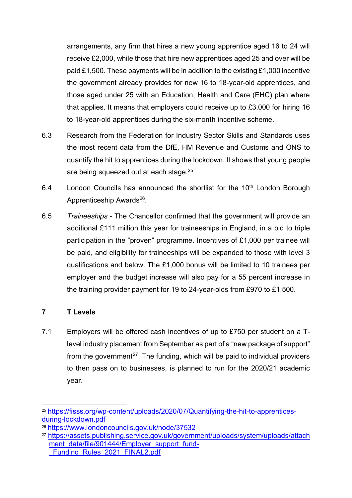arrangements, any firm that hires a new young apprentice aged 16 to 24 will receive £2,000, while those that hire new apprentices aged 25 and over will be paid £1,500. These payments will be in addition to the existing £1,000 incentive the government already provides for new 16 to 18-year-old apprentices, and those aged under 25 with an Education, Health and Care (EHC) plan where that applies. It means that employers could receive up to £3,000 for hiring 16 to 18-year-old apprentices during the six-month incentive scheme.

- 6.3 Research from the Federation for Industry Sector Skills and Standards uses the most recent data from the DfE, HM Revenue and Customs and ONS to quantify the hit to apprentices during the lockdown. It shows that young people are being squeezed out at each stage.<sup>[25](#page-10-1)</sup>
- 6.4 London Councils has announced the shortlist for the  $10<sup>th</sup>$  London Borough Apprenticeship Awards<sup>26</sup>.
- <span id="page-10-0"></span>6.5 *Traineeships -* The Chancellor confirmed that the government will provide an additional £111 million this year for traineeships in England, in a bid to triple participation in the "proven" programme. Incentives of £1,000 per trainee will be paid, and eligibility for traineeships will be expanded to those with level 3 qualifications and below. The £1,000 bonus will be limited to 10 trainees per employer and the budget increase will also pay for a 55 percent increase in the training provider payment for 19 to 24-year-olds from £970 to £1,500.

# **7 T Levels**

7.1 Employers will be offered cash incentives of up to £750 per student on a Tlevel industry placement from September as part of a "new package of support" from the government<sup>27</sup>. The funding, which will be paid to individual providers to then pass on to businesses, is planned to run for the 2020/21 academic year.

<span id="page-10-1"></span> <sup>25</sup> [https://fisss.org/wp-content/uploads/2020/07/Quantifying-the-hit-to-apprentices](https://fisss.org/wp-content/uploads/2020/07/Quantifying-the-hit-to-apprentices-during-lockdown.pdf)[during-lockdown.pdf](https://fisss.org/wp-content/uploads/2020/07/Quantifying-the-hit-to-apprentices-during-lockdown.pdf)

<span id="page-10-2"></span><sup>26</sup> <https://www.londoncouncils.gov.uk/node/37532>

<span id="page-10-3"></span><sup>&</sup>lt;sup>27</sup> https://assets.publishing.service.gov.uk/government/uploads/system/uploads/attach [ment\\_data/file/901444/Employer\\_support\\_fund-](https://assets.publishing.service.gov.uk/government/uploads/system/uploads/attachment_data/file/901444/Employer_support_fund-_Funding_Rules_2021_FINAL2.pdf) Funding\_Rules\_2021\_FINAL2.pdf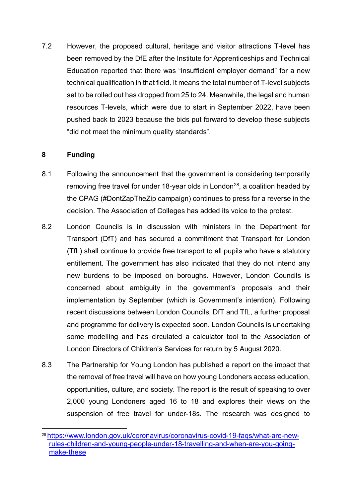7.2 However, the proposed cultural, heritage and visitor attractions T-level has been removed by the DfE after the Institute for Apprenticeships and Technical Education reported that there was "insufficient employer demand" for a new technical qualification in that field. It means the total number of T-level subjects set to be rolled out has dropped from 25 to 24. Meanwhile, the legal and human resources T-levels, which were due to start in September 2022, have been pushed back to 2023 because the bids put forward to develop these subjects "did not meet the minimum quality standards".

#### **8 Funding**

- 8.1 Following the announcement that the government is considering temporarily removing free travel for under 18-year olds in London<sup>[28](#page-11-0)</sup>, a coalition headed by the CPAG (#DontZapTheZip campaign) continues to press for a reverse in the decision. The Association of Colleges has added its voice to the protest.
- 8.2 London Councils is in discussion with ministers in the Department for Transport (DfT) and has secured a commitment that Transport for London (TfL) shall continue to provide free transport to all pupils who have a statutory entitlement. The government has also indicated that they do not intend any new burdens to be imposed on boroughs. However, London Councils is concerned about ambiguity in the government's proposals and their implementation by September (which is Government's intention). Following recent discussions between London Councils, DfT and TfL, a further proposal and programme for delivery is expected soon. London Councils is undertaking some modelling and has circulated a calculator tool to the Association of London Directors of Children's Services for return by 5 August 2020.
- 8.3 The Partnership for Young London has published a report on the impact that the removal of free travel will have on how young Londoners access education, opportunities, culture, and society. The report is the result of speaking to over 2,000 young Londoners aged 16 to 18 and explores their views on the suspension of free travel for under-18s. The research was designed to

<span id="page-11-0"></span> <sup>28</sup> [https://www.london.gov.uk/coronavirus/coronavirus-covid-19-faqs/what-are-new](https://www.london.gov.uk/coronavirus/coronavirus-covid-19-faqs/what-are-new-rules-children-and-young-people-under-18-travelling-and-when-are-you-going-make-these)[rules-children-and-young-people-under-18-travelling-and-when-are-you-going](https://www.london.gov.uk/coronavirus/coronavirus-covid-19-faqs/what-are-new-rules-children-and-young-people-under-18-travelling-and-when-are-you-going-make-these)[make-these](https://www.london.gov.uk/coronavirus/coronavirus-covid-19-faqs/what-are-new-rules-children-and-young-people-under-18-travelling-and-when-are-you-going-make-these)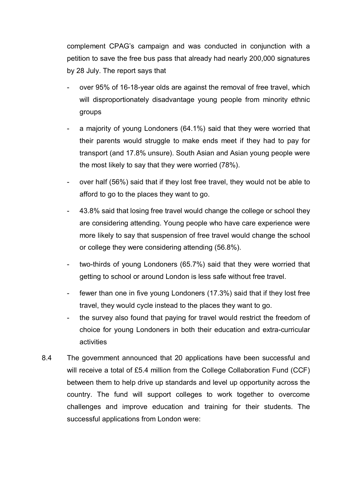complement CPAG's campaign and was conducted in conjunction with a petition to save the free bus pass that already had nearly 200,000 signatures by 28 July. The report says that

- over 95% of 16-18-year olds are against the removal of free travel, which will disproportionately disadvantage young people from minority ethnic groups
- a majority of young Londoners (64.1%) said that they were worried that their parents would struggle to make ends meet if they had to pay for transport (and 17.8% unsure). South Asian and Asian young people were the most likely to say that they were worried (78%).
- over half (56%) said that if they lost free travel, they would not be able to afford to go to the places they want to go.
- 43.8% said that losing free travel would change the college or school they are considering attending. Young people who have care experience were more likely to say that suspension of free travel would change the school or college they were considering attending (56.8%).
- two-thirds of young Londoners (65.7%) said that they were worried that getting to school or around London is less safe without free travel.
- fewer than one in five young Londoners (17.3%) said that if they lost free travel, they would cycle instead to the places they want to go.
- the survey also found that paying for travel would restrict the freedom of choice for young Londoners in both their education and extra-curricular activities
- 8.4 The government announced that 20 applications have been successful and will receive a total of £5.4 million from the College Collaboration Fund (CCF) between them to help drive up standards and level up opportunity across the country. The fund will support colleges to work together to overcome challenges and improve education and training for their students. The successful applications from London were: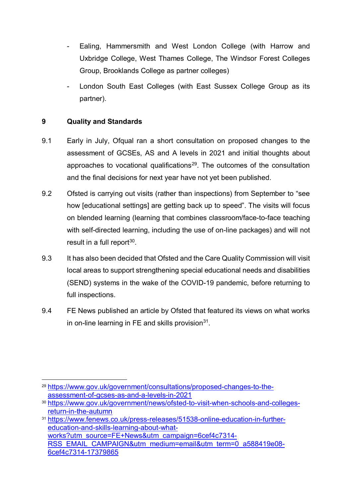- Ealing, Hammersmith and West London College (with Harrow and Uxbridge College, West Thames College, The Windsor Forest Colleges Group, Brooklands College as partner colleges)
- London South East Colleges (with East Sussex College Group as its partner).

# **9 Quality and Standards**

- 9.1 Early in July, Ofqual ran a short consultation on proposed changes to the assessment of GCSEs, AS and A levels in 2021 and initial thoughts about approaches to vocational qualifications<sup>[29](#page-13-0)</sup>. The outcomes of the consultation and the final decisions for next year have not yet been published.
- 9.2 Ofsted is carrying out visits (rather than inspections) from September to "see how [educational settings] are getting back up to speed". The visits will focus on blended learning (learning that combines classroom/face-to-face teaching with self-directed learning, including the use of on-line packages) and will not result in a full report $30$ .
- 9.3 It has also been decided that Ofsted and the Care Quality Commission will visit local areas to support strengthening special educational needs and disabilities (SEND) systems in the wake of the COVID-19 pandemic, before returning to full inspections.
- 9.4 FE News published an article by Ofsted that featured its views on what works in on-line learning in FE and skills provision $31$ .

<span id="page-13-0"></span> <sup>29</sup> [https://www.gov.uk/government/consultations/proposed-changes-to-the](https://www.gov.uk/government/consultations/proposed-changes-to-the-assessment-of-gcses-as-and-a-levels-in-2021)[assessment-of-gcses-as-and-a-levels-in-2021](https://www.gov.uk/government/consultations/proposed-changes-to-the-assessment-of-gcses-as-and-a-levels-in-2021)

<span id="page-13-1"></span><sup>30</sup> [https://www.gov.uk/government/news/ofsted-to-visit-when-schools-and-colleges](https://www.gov.uk/government/news/ofsted-to-visit-when-schools-and-colleges-return-in-the-autumn)[return-in-the-autumn](https://www.gov.uk/government/news/ofsted-to-visit-when-schools-and-colleges-return-in-the-autumn)

<span id="page-13-2"></span><sup>31</sup> [https://www.fenews.co.uk/press-releases/51538-online-education-in-further](https://www.fenews.co.uk/press-releases/51538-online-education-in-further-education-and-skills-learning-about-what-works?utm_source=FE+News&utm_campaign=6cef4c7314-RSS_EMAIL_CAMPAIGN&utm_medium=email&utm_term=0_a588419e08-6cef4c7314-17379865)[education-and-skills-learning-about-what](https://www.fenews.co.uk/press-releases/51538-online-education-in-further-education-and-skills-learning-about-what-works?utm_source=FE+News&utm_campaign=6cef4c7314-RSS_EMAIL_CAMPAIGN&utm_medium=email&utm_term=0_a588419e08-6cef4c7314-17379865)[works?utm\\_source=FE+News&utm\\_campaign=6cef4c7314-](https://www.fenews.co.uk/press-releases/51538-online-education-in-further-education-and-skills-learning-about-what-works?utm_source=FE+News&utm_campaign=6cef4c7314-RSS_EMAIL_CAMPAIGN&utm_medium=email&utm_term=0_a588419e08-6cef4c7314-17379865) [RSS\\_EMAIL\\_CAMPAIGN&utm\\_medium=email&utm\\_term=0\\_a588419e08-](https://www.fenews.co.uk/press-releases/51538-online-education-in-further-education-and-skills-learning-about-what-works?utm_source=FE+News&utm_campaign=6cef4c7314-RSS_EMAIL_CAMPAIGN&utm_medium=email&utm_term=0_a588419e08-6cef4c7314-17379865) [6cef4c7314-17379865](https://www.fenews.co.uk/press-releases/51538-online-education-in-further-education-and-skills-learning-about-what-works?utm_source=FE+News&utm_campaign=6cef4c7314-RSS_EMAIL_CAMPAIGN&utm_medium=email&utm_term=0_a588419e08-6cef4c7314-17379865)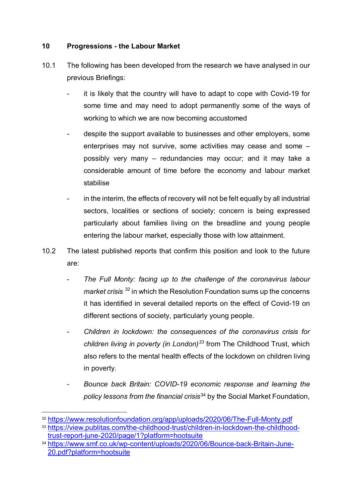# **10 Progressions - the Labour Market**

- 10.1 The following has been developed from the research we have analysed in our previous Briefings:
	- it is likely that the country will have to adapt to cope with Covid-19 for some time and may need to adopt permanently some of the ways of working to which we are now becoming accustomed
	- despite the support available to businesses and other employers, some enterprises may not survive, some activities may cease and some – possibly very many – redundancies may occur; and it may take a considerable amount of time before the economy and labour market stabilise
	- in the interim, the effects of recovery will not be felt equally by all industrial sectors, localities or sections of society; concern is being expressed particularly about families living on the breadline and young people entering the labour market, especially those with low attainment.
- 10.2 The latest published reports that confirm this position and look to the future are:
	- *The Full Monty: facing up to the challenge of the coronavirus labour market crisis [32](#page-14-0)* in which the Resolution Foundation sums up the concerns it has identified in several detailed reports on the effect of Covid-19 on different sections of society, particularly young people.
	- *Children in lockdown: the consequences of the coronavirus crisis for children living in poverty (in London)[33](#page-14-1)* from The Childhood Trust, which also refers to the mental health effects of the lockdown on children living in poverty.
	- *Bounce back Britain: COVID-19 economic response and learning the policy lessons from the financial crisis*[34](#page-14-2) by the Social Market Foundation,

<span id="page-14-0"></span> <sup>32</sup> <https://www.resolutionfoundation.org/app/uploads/2020/06/The-Full-Monty.pdf>

<span id="page-14-1"></span><sup>33</sup> [https://view.publitas.com/the-childhood-trust/children-in-lockdown-the-childhood](https://view.publitas.com/the-childhood-trust/children-in-lockdown-the-childhood-trust-report-june-2020/page/1?platform=hootsuite)[trust-report-june-2020/page/1?platform=hootsuite](https://view.publitas.com/the-childhood-trust/children-in-lockdown-the-childhood-trust-report-june-2020/page/1?platform=hootsuite)

<span id="page-14-2"></span><sup>34</sup> [https://www.smf.co.uk/wp-content/uploads/2020/06/Bounce-back-Britain-June-](https://www.smf.co.uk/wp-content/uploads/2020/06/Bounce-back-Britain-June-20.pdf?platform=hootsuite)[20.pdf?platform=hootsuite](https://www.smf.co.uk/wp-content/uploads/2020/06/Bounce-back-Britain-June-20.pdf?platform=hootsuite)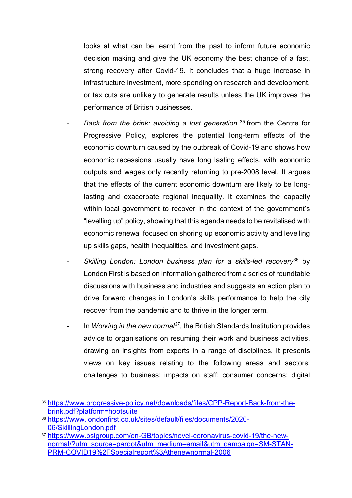looks at what can be learnt from the past to inform future economic decision making and give the UK economy the best chance of a fast, strong recovery after Covid-19. It concludes that a huge increase in infrastructure investment, more spending on research and development, or tax cuts are unlikely to generate results unless the UK improves the performance of British businesses.

- *Back from the brink: avoiding a lost generation* [35](#page-15-0) from the Centre for Progressive Policy, explores the potential long-term effects of the economic downturn caused by the outbreak of Covid-19 and shows how economic recessions usually have long lasting effects, with economic outputs and wages only recently returning to pre-2008 level. It argues that the effects of the current economic downturn are likely to be longlasting and exacerbate regional inequality. It examines the capacity within local government to recover in the context of the government's "levelling up" policy, showing that this agenda needs to be revitalised with economic renewal focused on shoring up economic activity and levelling up skills gaps, health inequalities, and investment gaps.
- Skilling London: London business plan for a skills-led recovery<sup>[36](#page-15-1)</sup> by London First is based on information gathered from a series of roundtable discussions with business and industries and suggests an action plan to drive forward changes in London's skills performance to help the city recover from the pandemic and to thrive in the longer term.
- In *Working in the new normal[37](#page-15-2)*, the British Standards Institution provides advice to organisations on resuming their work and business activities, drawing on insights from experts in a range of disciplines. It presents views on key issues relating to the following areas and sectors: challenges to business; impacts on staff; consumer concerns; digital

<span id="page-15-0"></span> <sup>35</sup> [https://www.progressive-policy.net/downloads/files/CPP-Report-Back-from-the](https://www.progressive-policy.net/downloads/files/CPP-Report-Back-from-the-brink.pdf?platform=hootsuite)[brink.pdf?platform=hootsuite](https://www.progressive-policy.net/downloads/files/CPP-Report-Back-from-the-brink.pdf?platform=hootsuite)

<span id="page-15-1"></span><sup>36</sup> [https://www.londonfirst.co.uk/sites/default/files/documents/2020-](https://www.londonfirst.co.uk/sites/default/files/documents/2020-06/SkillingLondon.pdf) [06/SkillingLondon.pdf](https://www.londonfirst.co.uk/sites/default/files/documents/2020-06/SkillingLondon.pdf)

<span id="page-15-2"></span><sup>37</sup> [https://www.bsigroup.com/en-GB/topics/novel-coronavirus-covid-19/the-new](https://www.bsigroup.com/en-GB/topics/novel-coronavirus-covid-19/the-new-normal/?utm_source=pardot&utm_medium=email&utm_campaign=SM-STAN-PRM-COVID19%2FSpecialreport%3Athenewnormal-2006)[normal/?utm\\_source=pardot&utm\\_medium=email&utm\\_campaign=SM-STAN-](https://www.bsigroup.com/en-GB/topics/novel-coronavirus-covid-19/the-new-normal/?utm_source=pardot&utm_medium=email&utm_campaign=SM-STAN-PRM-COVID19%2FSpecialreport%3Athenewnormal-2006)[PRM-COVID19%2FSpecialreport%3Athenewnormal-2006](https://www.bsigroup.com/en-GB/topics/novel-coronavirus-covid-19/the-new-normal/?utm_source=pardot&utm_medium=email&utm_campaign=SM-STAN-PRM-COVID19%2FSpecialreport%3Athenewnormal-2006)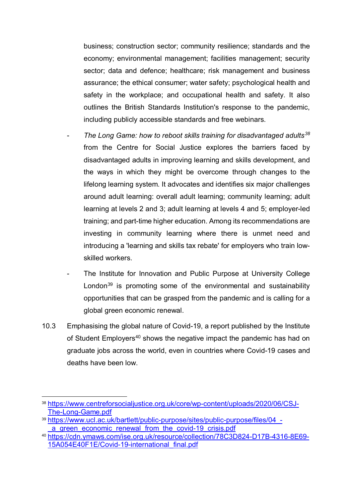business; construction sector; community resilience; standards and the economy; environmental management; facilities management; security sector; data and defence; healthcare; risk management and business assurance; the ethical consumer; water safety; psychological health and safety in the workplace; and occupational health and safety. It also outlines the British Standards Institution's response to the pandemic, including publicly accessible standards and free webinars.

- *The Long Game: how to reboot skills training for disadvantaged adults[38](#page-16-0)* from the Centre for Social Justice explores the barriers faced by disadvantaged adults in improving learning and skills development, and the ways in which they might be overcome through changes to the lifelong learning system. It advocates and identifies six major challenges around adult learning: overall adult learning; community learning; adult learning at levels 2 and 3; adult learning at levels 4 and 5; employer-led training; and part-time higher education. Among its recommendations are investing in community learning where there is unmet need and introducing a 'learning and skills tax rebate' for employers who train lowskilled workers.
- The Institute for Innovation and Public Purpose at University College London $39$  is promoting some of the environmental and sustainability opportunities that can be grasped from the pandemic and is calling for a global green economic renewal.
- 10.3 Emphasising the global nature of Covid-19, a report published by the Institute of Student Employers<sup>[40](#page-16-2)</sup> shows the negative impact the pandemic has had on graduate jobs across the world, even in countries where Covid-19 cases and deaths have been low.

<span id="page-16-0"></span> <sup>38</sup> [https://www.centreforsocialjustice.org.uk/core/wp-content/uploads/2020/06/CSJ-](https://www.centreforsocialjustice.org.uk/core/wp-content/uploads/2020/06/CSJ-The-Long-Game.pdf)[The-Long-Game.pdf](https://www.centreforsocialjustice.org.uk/core/wp-content/uploads/2020/06/CSJ-The-Long-Game.pdf)

<span id="page-16-1"></span><sup>39</sup> [https://www.ucl.ac.uk/bartlett/public-purpose/sites/public-purpose/files/04\\_](https://www.ucl.ac.uk/bartlett/public-purpose/sites/public-purpose/files/04_-_a_green_economic_renewal_from_the_covid-19_crisis.pdf) a green economic renewal from the covid-19 crisis.pdf

<span id="page-16-2"></span><sup>40</sup> [https://cdn.ymaws.com/ise.org.uk/resource/collection/78C3D824-D17B-4316-8E69-](https://cdn.ymaws.com/ise.org.uk/resource/collection/78C3D824-D17B-4316-8E69-15A054E40F1E/Covid-19-international_final.pdf) [15A054E40F1E/Covid-19-international\\_final.pdf](https://cdn.ymaws.com/ise.org.uk/resource/collection/78C3D824-D17B-4316-8E69-15A054E40F1E/Covid-19-international_final.pdf)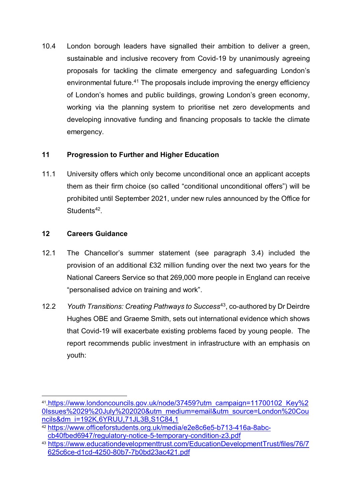10.4 London borough leaders have signalled their ambition to deliver a green, sustainable and inclusive recovery from Covid-19 by unanimously agreeing proposals for tackling the climate emergency and safeguarding London's environmental future.<sup>41</sup> The proposals include improving the energy efficiency of London's homes and public buildings, growing London's green economy, working via the planning system to prioritise net zero developments and developing innovative funding and financing proposals to tackle the climate emergency.

# **11 Progression to Further and Higher Education**

11.1 University offers which only become unconditional once an applicant accepts them as their firm choice (so called "conditional unconditional offers") will be prohibited until September 2021, under new rules announced by the Office for Students<sup>42</sup>.

# **12 Careers Guidance**

- <span id="page-17-0"></span>12.1 The Chancellor's summer statement (see paragraph [3.4\)](#page-2-3) included the provision of an additional £32 million funding over the next two years for the National Careers Service so that 269,000 more people in England can receive "personalised advice on training and work".
- 12.2 *Youth Transitions: Creating Pathways to Success*[43,](#page-17-3) co-authored by Dr Deirdre Hughes OBE and Graeme Smith, sets out international evidence which shows that Covid-19 will exacerbate existing problems faced by young people. The report recommends public investment in infrastructure with an emphasis on youth:

<span id="page-17-1"></span> <sup>41</sup>[.https://www.londoncouncils.gov.uk/node/37459?utm\\_campaign=11700102\\_Key%2](https://www.londoncouncils.gov.uk/node/37459?utm_campaign=11700102_Key%20Issues%2029%20July%202020&utm_medium=email&utm_source=London%20Councils&dm_i=192K,6YRUU,71JL3B,S1C84,1) [0Issues%2029%20July%202020&utm\\_medium=email&utm\\_source=London%20Cou](https://www.londoncouncils.gov.uk/node/37459?utm_campaign=11700102_Key%20Issues%2029%20July%202020&utm_medium=email&utm_source=London%20Councils&dm_i=192K,6YRUU,71JL3B,S1C84,1) [ncils&dm\\_i=192K,6YRUU,71JL3B,S1C84,1](https://www.londoncouncils.gov.uk/node/37459?utm_campaign=11700102_Key%20Issues%2029%20July%202020&utm_medium=email&utm_source=London%20Councils&dm_i=192K,6YRUU,71JL3B,S1C84,1)

<span id="page-17-2"></span><sup>42</sup> [https://www.officeforstudents.org.uk/media/e2e8c6e5-b713-416a-8abc](https://www.officeforstudents.org.uk/media/e2e8c6e5-b713-416a-8abc-cb40fbed6947/regulatory-notice-5-temporary-condition-z3.pdf)[cb40fbed6947/regulatory-notice-5-temporary-condition-z3.pdf](https://www.officeforstudents.org.uk/media/e2e8c6e5-b713-416a-8abc-cb40fbed6947/regulatory-notice-5-temporary-condition-z3.pdf)

<span id="page-17-3"></span><sup>43</sup>[.https://www.educationdevelopmenttrust.com/EducationDevelopmentTrust/files/76/7](https://www.educationdevelopmenttrust.com/EducationDevelopmentTrust/files/76/7625c6ce-d1cd-4250-80b7-7b0bd23ac421.pdf) [625c6ce-d1cd-4250-80b7-7b0bd23ac421.pdf](https://www.educationdevelopmenttrust.com/EducationDevelopmentTrust/files/76/7625c6ce-d1cd-4250-80b7-7b0bd23ac421.pdf)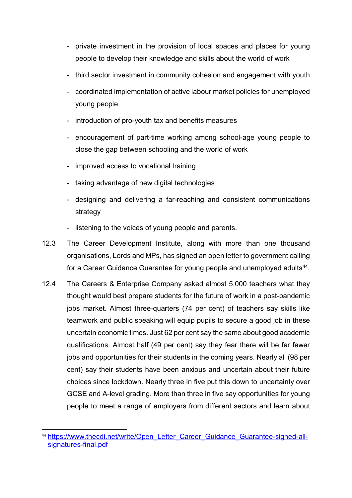- private investment in the provision of local spaces and places for young people to develop their knowledge and skills about the world of work
- third sector investment in community cohesion and engagement with youth
- coordinated implementation of active labour market policies for unemployed young people
- introduction of pro-youth tax and benefits measures
- encouragement of part-time working among school-age young people to close the gap between schooling and the world of work
- improved access to vocational training
- taking advantage of new digital technologies
- designing and delivering a far-reaching and consistent communications strategy
- listening to the voices of young people and parents.
- 12.3 The Career Development Institute, along with more than one thousand organisations, Lords and MPs, has signed an open letter to government calling for a Career Guidance Guarantee for young people and unemployed adults<sup>44</sup>.
- 12.4 The Careers & Enterprise Company asked almost 5,000 teachers what they thought would best prepare students for the future of work in a post-pandemic jobs market. Almost three-quarters (74 per cent) of teachers say skills like teamwork and public speaking will equip pupils to secure a good job in these uncertain economic times. Just 62 per cent say the same about good academic qualifications. Almost half (49 per cent) say they fear there will be far fewer jobs and opportunities for their students in the coming years. Nearly all (98 per cent) say their students have been anxious and uncertain about their future choices since lockdown. Nearly three in five put this down to uncertainty over GCSE and A-level grading. More than three in five say opportunities for young people to meet a range of employers from different sectors and learn about

<span id="page-18-0"></span><sup>&</sup>lt;sup>44</sup> [https://www.thecdi.net/write/Open\\_Letter\\_Career\\_Guidance\\_Guarantee-signed-all](https://www.thecdi.net/write/Open_Letter_Career_Guidance_Guarantee-signed-all-signatures-final.pdf)[signatures-final.pdf](https://www.thecdi.net/write/Open_Letter_Career_Guidance_Guarantee-signed-all-signatures-final.pdf)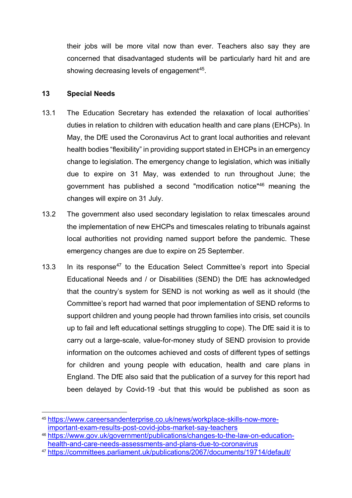their jobs will be more vital now than ever. Teachers also say they are concerned that disadvantaged students will be particularly hard hit and are showing decreasing levels of engagement<sup>45</sup>.

#### **13 Special Needs**

- 13.1 The Education Secretary has extended the relaxation of local authorities' duties in relation to children with education health and care plans (EHCPs). In May, the DfE used the Coronavirus Act to grant local authorities and relevant health bodies "flexibility" in providing support stated in EHCPs in an emergency change to legislation. The emergency change to legislation, which was initially due to expire on 31 May, was extended to run throughout June; the government has published a second "modification notice"[46](#page-19-2) meaning the changes will expire on 31 July.
- 13.2 The government also used secondary legislation to relax timescales around the implementation of new EHCPs and timescales relating to tribunals against local authorities not providing named support before the pandemic. These emergency changes are due to expire on 25 September.
- <span id="page-19-0"></span>13.3 In its response<sup>[47](#page-19-3)</sup> to the Education Select Committee's report into Special Educational Needs and / or Disabilities (SEND) the DfE has acknowledged that the country's system for SEND is not working as well as it should (the Committee's report had warned that poor implementation of SEND reforms to support children and young people had thrown families into crisis, set councils up to fail and left educational settings struggling to cope). The DfE said it is to carry out a large-scale, value-for-money study of SEND provision to provide information on the outcomes achieved and costs of different types of settings for children and young people with education, health and care plans in England. The DfE also said that the publication of a survey for this report had been delayed by Covid-19 -but that this would be published as soon as

<span id="page-19-1"></span> <sup>45</sup> [https://www.careersandenterprise.co.uk/news/workplace-skills-now-more](https://www.careersandenterprise.co.uk/news/workplace-skills-now-more-important-exam-results-post-covid-jobs-market-say-teachers)[important-exam-results-post-covid-jobs-market-say-teachers](https://www.careersandenterprise.co.uk/news/workplace-skills-now-more-important-exam-results-post-covid-jobs-market-say-teachers)

<span id="page-19-2"></span><sup>46</sup> [https://www.gov.uk/government/publications/changes-to-the-law-on-education](https://www.gov.uk/government/publications/changes-to-the-law-on-education-health-and-care-needs-assessments-and-plans-due-to-coronavirus)[health-and-care-needs-assessments-and-plans-due-to-coronavirus](https://www.gov.uk/government/publications/changes-to-the-law-on-education-health-and-care-needs-assessments-and-plans-due-to-coronavirus)

<span id="page-19-3"></span><sup>47</sup> <https://committees.parliament.uk/publications/2067/documents/19714/default/>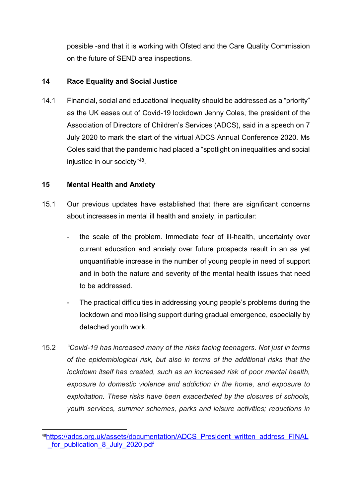possible -and that it is working with Ofsted and the Care Quality Commission on the future of SEND area inspections.

### **14 Race Equality and Social Justice**

14.1 Financial, social and educational inequality should be addressed as a "priority" as the UK eases out of Covid-19 lockdown Jenny Coles, the president of the Association of Directors of Children's Services (ADCS), said in a speech on 7 July 2020 to mark the start of the virtual ADCS Annual Conference 2020. Ms Coles said that the pandemic had placed a "spotlight on inequalities and social injustice in our society"[48.](#page-20-0)

#### **15 Mental Health and Anxiety**

- 15.1 Our previous updates have established that there are significant concerns about increases in mental ill health and anxiety, in particular:
	- the scale of the problem. Immediate fear of ill-health, uncertainty over current education and anxiety over future prospects result in an as yet unquantifiable increase in the number of young people in need of support and in both the nature and severity of the mental health issues that need to be addressed.
	- The practical difficulties in addressing young people's problems during the lockdown and mobilising support during gradual emergence, especially by detached youth work.
- 15.2 *"Covid-19 has increased many of the risks facing teenagers. Not just in terms of the epidemiological risk, but also in terms of the additional risks that the lockdown itself has created, such as an increased risk of poor mental health, exposure to domestic violence and addiction in the home, and exposure to exploitation. These risks have been exacerbated by the closures of schools, youth services, summer schemes, parks and leisure activities; reductions in*

<span id="page-20-0"></span> <sup>4</sup>[8https://adcs.org.uk/assets/documentation/ADCS\\_President\\_written\\_address\\_FINAL](https://adcs.org.uk/assets/documentation/ADCS_President_written_address_FINAL_for_publication_8_July_2020.pdf) for publication 8 July 2020.pdf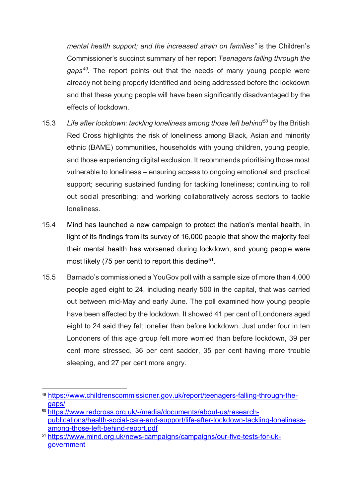*mental health support; and the increased strain on families"* is the Children's Commissioner's succinct summary of her report *Teenagers falling through the gaps[49.](#page-21-0)* The report points out that the needs of many young people were already not being properly identified and being addressed before the lockdown and that these young people will have been significantly disadvantaged by the effects of lockdown.

- 15.3 *Life after lockdown: tackling loneliness among those left behind[50](#page-21-1)* by the British Red Cross highlights the risk of loneliness among Black, Asian and minority ethnic (BAME) communities, households with young children, young people, and those experiencing digital exclusion. It recommends prioritising those most vulnerable to loneliness – ensuring access to ongoing emotional and practical support; securing sustained funding for tackling loneliness; continuing to roll out social prescribing; and working collaboratively across sectors to tackle loneliness.
- 15.4 Mind has launched a new campaign to protect the nation's mental health, in light of its findings from its survey of 16,000 people that show the majority feel their mental health has worsened during lockdown, and young people were most likely (75 per cent) to report this decline<sup>[51](#page-21-2)</sup>.
- 15.5 Barnado's commissioned a YouGov poll with a sample size of more than 4,000 people aged eight to 24, including nearly 500 in the capital, that was carried out between mid-May and early June. The poll examined how young people have been affected by the lockdown. It showed 41 per cent of Londoners aged eight to 24 said they felt lonelier than before lockdown. Just under four in ten Londoners of this age group felt more worried than before lockdown, 39 per cent more stressed, 36 per cent sadder, 35 per cent having more trouble sleeping, and 27 per cent more angry.

<span id="page-21-0"></span> <sup>49</sup> [https://www.childrenscommissioner.gov.uk/report/teenagers-falling-through-the](https://www.childrenscommissioner.gov.uk/report/teenagers-falling-through-the-gaps/)[gaps/](https://www.childrenscommissioner.gov.uk/report/teenagers-falling-through-the-gaps/)

<span id="page-21-1"></span><sup>50</sup> [https://www.redcross.org.uk/-/media/documents/about-us/research](https://www.redcross.org.uk/-/media/documents/about-us/research-publications/health-social-care-and-support/life-after-lockdown-tackling-loneliness-among-those-left-behind-report.pdf)[publications/health-social-care-and-support/life-after-lockdown-tackling-loneliness](https://www.redcross.org.uk/-/media/documents/about-us/research-publications/health-social-care-and-support/life-after-lockdown-tackling-loneliness-among-those-left-behind-report.pdf)[among-those-left-behind-report.pdf](https://www.redcross.org.uk/-/media/documents/about-us/research-publications/health-social-care-and-support/life-after-lockdown-tackling-loneliness-among-those-left-behind-report.pdf)

<span id="page-21-2"></span><sup>51</sup> [https://www.mind.org.uk/news-campaigns/campaigns/our-five-tests-for-uk](https://www.mind.org.uk/news-campaigns/campaigns/our-five-tests-for-uk-government)[government](https://www.mind.org.uk/news-campaigns/campaigns/our-five-tests-for-uk-government)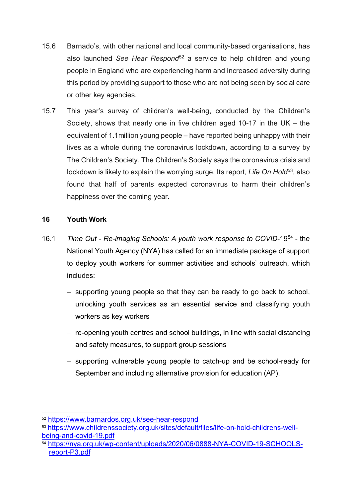- 15.6 Barnado's, with other national and local community-based organisations, has also launched *See Hear Respond*[52](#page-22-0) a service to help children and young people in England who are experiencing harm and increased adversity during this period by providing support to those who are not being seen by social care or other key agencies.
- 15.7 This year's survey of children's well-being, conducted by the Children's Society, shows that nearly one in five children aged 10-17 in the UK – the equivalent of 1.1million young people – have reported being unhappy with their lives as a whole during the coronavirus lockdown, according to a survey by The Children's Society. The Children's Society says the coronavirus crisis and lockdown is likely to explain the worrying surge. Its report, Life On Hold<sup>[53](#page-22-1)</sup>, also found that half of parents expected coronavirus to harm their children's happiness over the coming year.

# **16 Youth Work**

- 16.1 *Time Out - Re-imaging Schools: A youth work response to COVID-*19[54](#page-22-2) the National Youth Agency (NYA) has called for an immediate package of support to deploy youth workers for summer activities and schools' outreach, which includes:
	- − supporting young people so that they can be ready to go back to school, unlocking youth services as an essential service and classifying youth workers as key workers
	- − re-opening youth centres and school buildings, in line with social distancing and safety measures, to support group sessions
	- − supporting vulnerable young people to catch-up and be school-ready for September and including alternative provision for education (AP).

<span id="page-22-1"></span><sup>53</sup> [https://www.childrenssociety.org.uk/sites/default/files/life-on-hold-childrens-well](https://www.childrenssociety.org.uk/sites/default/files/life-on-hold-childrens-well-being-and-covid-19.pdf)[being-and-covid-19.pdf](https://www.childrenssociety.org.uk/sites/default/files/life-on-hold-childrens-well-being-and-covid-19.pdf)

<span id="page-22-0"></span> <sup>52</sup> <https://www.barnardos.org.uk/see-hear-respond>

<span id="page-22-2"></span><sup>54</sup> [https://nya.org.uk/wp-content/uploads/2020/06/0888-NYA-COVID-19-SCHOOLS](https://nya.org.uk/wp-content/uploads/2020/06/0888-NYA-COVID-19-SCHOOLS-report-P3.pdf)[report-P3.pdf](https://nya.org.uk/wp-content/uploads/2020/06/0888-NYA-COVID-19-SCHOOLS-report-P3.pdf)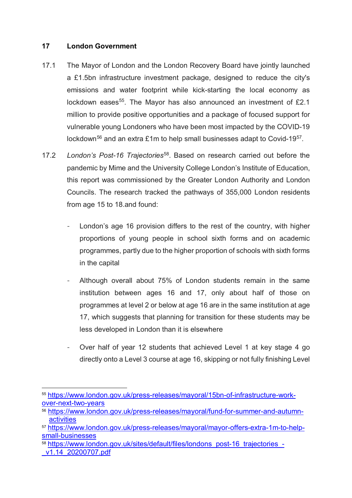#### **17 London Government**

- 17.1 The Mayor of London and the London Recovery Board have jointly launched a £1.5bn infrastructure investment package, designed to reduce the city's emissions and water footprint while kick-starting the local economy as lockdown eases<sup>[55](#page-23-0)</sup>. The Mayor has also announced an investment of £2.1 million to provide positive opportunities and a package of focused support for vulnerable young Londoners who have been most impacted by the COVID-19 lockdown<sup>[56](#page-23-1)</sup> and an extra £1m to help small businesses adapt to Covid-19<sup>[57](#page-23-2)</sup>.
- 17.2 *London's Post-16 Trajectories*[58.](#page-23-3) Based on research carried out before the pandemic by Mime and the University College London's Institute of Education, this report was commissioned by the Greater London Authority and London Councils. The research tracked the pathways of 355,000 London residents from age 15 to 18.and found:
	- London's age 16 provision differs to the rest of the country, with higher proportions of young people in school sixth forms and on academic programmes, partly due to the higher proportion of schools with sixth forms in the capital
	- Although overall about 75% of London students remain in the same institution between ages 16 and 17, only about half of those on programmes at level 2 or below at age 16 are in the same institution at age 17, which suggests that planning for transition for these students may be less developed in London than it is elsewhere
	- Over half of year 12 students that achieved Level 1 at key stage 4 go directly onto a Level 3 course at age 16, skipping or not fully finishing Level

<span id="page-23-0"></span> <sup>55</sup> [https://www.london.gov.uk/press-releases/mayoral/15bn-of-infrastructure-work](https://www.london.gov.uk/press-releases/mayoral/15bn-of-infrastructure-work-over-next-two-years)[over-next-two-years](https://www.london.gov.uk/press-releases/mayoral/15bn-of-infrastructure-work-over-next-two-years)

<span id="page-23-1"></span><sup>56</sup> [https://www.london.gov.uk/press-releases/mayoral/fund-for-summer-and-autumn](https://www.london.gov.uk/press-releases/mayoral/fund-for-summer-and-autumn-activities)[activities](https://www.london.gov.uk/press-releases/mayoral/fund-for-summer-and-autumn-activities)

<span id="page-23-2"></span><sup>57</sup> [https://www.london.gov.uk/press-releases/mayoral/mayor-offers-extra-1m-to-help](https://www.london.gov.uk/press-releases/mayoral/mayor-offers-extra-1m-to-help-small-businesses)[small-businesses](https://www.london.gov.uk/press-releases/mayoral/mayor-offers-extra-1m-to-help-small-businesses)

<span id="page-23-3"></span><sup>58</sup> [https://www.london.gov.uk/sites/default/files/londons\\_post-16\\_trajectories\\_-](https://www.london.gov.uk/sites/default/files/londons_post-16_trajectories_-_v1.14_20200707.pdf) [\\_v1.14\\_20200707.pdf](https://www.london.gov.uk/sites/default/files/londons_post-16_trajectories_-_v1.14_20200707.pdf)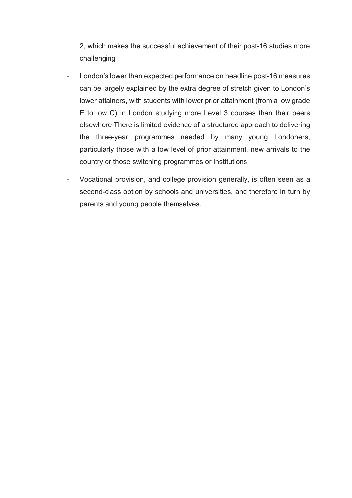2, which makes the successful achievement of their post-16 studies more challenging

- London's lower than expected performance on headline post-16 measures can be largely explained by the extra degree of stretch given to London's lower attainers, with students with lower prior attainment (from a low grade E to low C) in London studying more Level 3 courses than their peers elsewhere There is limited evidence of a structured approach to delivering the three-year programmes needed by many young Londoners, particularly those with a low level of prior attainment, new arrivals to the country or those switching programmes or institutions
- Vocational provision, and college provision generally, is often seen as a second-class option by schools and universities, and therefore in turn by parents and young people themselves.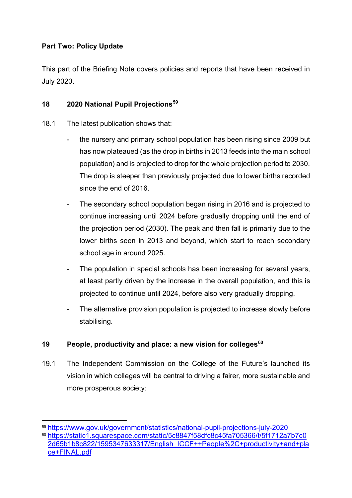# **Part Two: Policy Update**

This part of the Briefing Note covers policies and reports that have been received in July 2020.

# **18 2020 National Pupil Projections[59](#page-25-0)**

- 18.1 The latest publication shows that:
	- the nursery and primary school population has been rising since 2009 but has now plateaued (as the drop in births in 2013 feeds into the main school population) and is projected to drop for the whole projection period to 2030. The drop is steeper than previously projected due to lower births recorded since the end of 2016.
	- The secondary school population began rising in 2016 and is projected to continue increasing until 2024 before gradually dropping until the end of the projection period (2030). The peak and then fall is primarily due to the lower births seen in 2013 and beyond, which start to reach secondary school age in around 2025.
	- The population in special schools has been increasing for several years, at least partly driven by the increase in the overall population, and this is projected to continue until 2024, before also very gradually dropping.
	- The alternative provision population is projected to increase slowly before stabilising.

# **19 People, productivity and place: a new vision for colleges[60](#page-25-1)**

19.1 The Independent Commission on the College of the Future's launched its vision in which colleges will be central to driving a fairer, more sustainable and more prosperous society:

<span id="page-25-0"></span> <sup>59</sup> <https://www.gov.uk/government/statistics/national-pupil-projections-july-2020>

<span id="page-25-1"></span><sup>60</sup>[.https://static1.squarespace.com/static/5c8847f58dfc8c45fa705366/t/5f1712a7b7c0](https://static1.squarespace.com/static/5c8847f58dfc8c45fa705366/t/5f1712a7b7c02d65b1b8c822/1595347633317/English_ICCF++People%2C+productivity+and+place+FINAL.pdf) [2d65b1b8c822/1595347633317/English\\_ICCF++People%2C+productivity+and+pla](https://static1.squarespace.com/static/5c8847f58dfc8c45fa705366/t/5f1712a7b7c02d65b1b8c822/1595347633317/English_ICCF++People%2C+productivity+and+place+FINAL.pdf) [ce+FINAL.pdf](https://static1.squarespace.com/static/5c8847f58dfc8c45fa705366/t/5f1712a7b7c02d65b1b8c822/1595347633317/English_ICCF++People%2C+productivity+and+place+FINAL.pdf)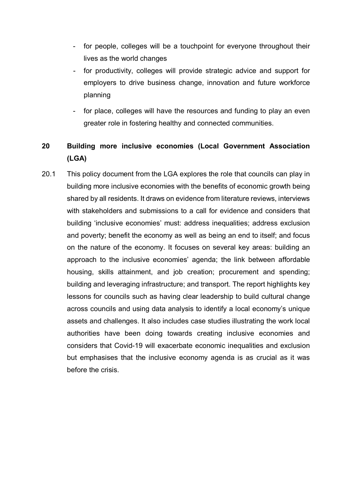- for people, colleges will be a touchpoint for everyone throughout their lives as the world changes
- for productivity, colleges will provide strategic advice and support for employers to drive business change, innovation and future workforce planning
- for place, colleges will have the resources and funding to play an even greater role in fostering healthy and connected communities.

# **20 Building more inclusive economies (Local Government Association (LGA)**

20.1 This policy document from the LGA explores the role that councils can play in building more inclusive economies with the benefits of economic growth being shared by all residents. It draws on evidence from literature reviews, interviews with stakeholders and submissions to a call for evidence and considers that building 'inclusive economies' must: address inequalities; address exclusion and poverty; benefit the economy as well as being an end to itself; and focus on the nature of the economy. It focuses on several key areas: building an approach to the inclusive economies' agenda; the link between affordable housing, skills attainment, and job creation; procurement and spending; building and leveraging infrastructure; and transport. The report highlights key lessons for councils such as having clear leadership to build cultural change across councils and using data analysis to identify a local economy's unique assets and challenges. It also includes case studies illustrating the work local authorities have been doing towards creating inclusive economies and considers that Covid-19 will exacerbate economic inequalities and exclusion but emphasises that the inclusive economy agenda is as crucial as it was before the crisis.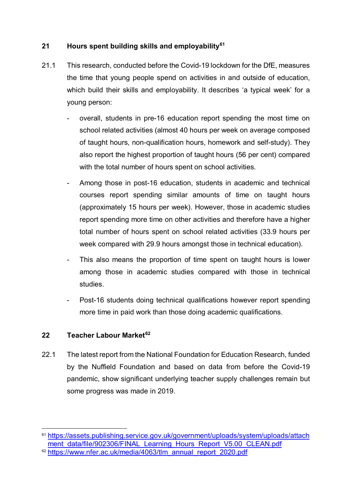# **21 Hours spent building skills and employability[61](#page-27-0)**

- 21.1 This research, conducted before the Covid-19 lockdown for the DfE, measures the time that young people spend on activities in and outside of education, which build their skills and employability. It describes 'a typical week' for a young person:
	- overall, students in pre-16 education report spending the most time on school related activities (almost 40 hours per week on average composed of taught hours, non-qualification hours, homework and self-study). They also report the highest proportion of taught hours (56 per cent) compared with the total number of hours spent on school activities.
	- Among those in post-16 education, students in academic and technical courses report spending similar amounts of time on taught hours (approximately 15 hours per week). However, those in academic studies report spending more time on other activities and therefore have a higher total number of hours spent on school related activities (33.9 hours per week compared with 29.9 hours amongst those in technical education).
	- This also means the proportion of time spent on taught hours is lower among those in academic studies compared with those in technical studies.
	- Post-16 students doing technical qualifications however report spending more time in paid work than those doing academic qualifications.

#### **22 Teacher Labour Market[62](#page-27-1)**

22.1 The latest report from the National Foundation for Education Research, funded by the Nuffield Foundation and based on data from before the Covid-19 pandemic, show significant underlying teacher supply challenges remain but some progress was made in 2019.

<span id="page-27-0"></span><sup>&</sup>lt;sup>61</sup> https://assets.publishing.service.gov.uk/government/uploads/system/uploads/attach [ment\\_data/file/902306/FINAL\\_Learning\\_Hours\\_Report\\_V5.00\\_CLEAN.pdf](https://assets.publishing.service.gov.uk/government/uploads/system/uploads/attachment_data/file/902306/FINAL_Learning_Hours_Report_V5.00_CLEAN.pdf)

<span id="page-27-1"></span><sup>62</sup> [https://www.nfer.ac.uk/media/4063/tlm\\_annual\\_report\\_2020.pdf](https://www.nfer.ac.uk/media/4063/tlm_annual_report_2020.pdf)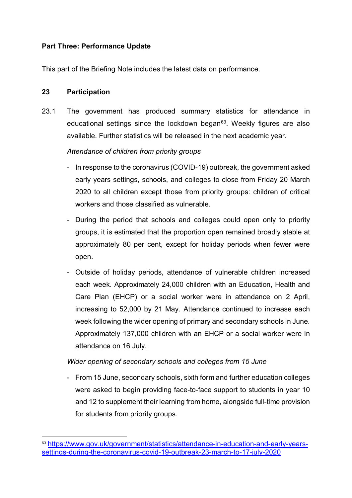# **Part Three: Performance Update**

This part of the Briefing Note includes the latest data on performance.

# **23 Participation**

23.1 The government has produced summary statistics for attendance in educational settings since the lockdown began $63$ . Weekly figures are also available. Further statistics will be released in the next academic year.

# *Attendance of children from priority groups*

- In response to the coronavirus (COVID-19) outbreak, the government asked early years settings, schools, and colleges to close from Friday 20 March 2020 to all children except those from priority groups: children of critical workers and those classified as vulnerable.
- During the period that schools and colleges could open only to priority groups, it is estimated that the proportion open remained broadly stable at approximately 80 per cent, except for holiday periods when fewer were open.
- Outside of holiday periods, attendance of vulnerable children increased each week. Approximately 24,000 children with an Education, Health and Care Plan (EHCP) or a social worker were in attendance on 2 April, increasing to 52,000 by 21 May. Attendance continued to increase each week following the wider opening of primary and secondary schools in June. Approximately 137,000 children with an EHCP or a social worker were in attendance on 16 July.

# *Wider opening of secondary schools and colleges from 15 June*

- From 15 June, secondary schools, sixth form and further education colleges were asked to begin providing face-to-face support to students in year 10 and 12 to supplement their learning from home, alongside full-time provision for students from priority groups.

<span id="page-28-0"></span> <sup>63</sup> [https://www.gov.uk/government/statistics/attendance-in-education-and-early-years](https://www.gov.uk/government/statistics/attendance-in-education-and-early-years-settings-during-the-coronavirus-covid-19-outbreak-23-march-to-17-july-2020)[settings-during-the-coronavirus-covid-19-outbreak-23-march-to-17-july-2020](https://www.gov.uk/government/statistics/attendance-in-education-and-early-years-settings-during-the-coronavirus-covid-19-outbreak-23-march-to-17-july-2020)